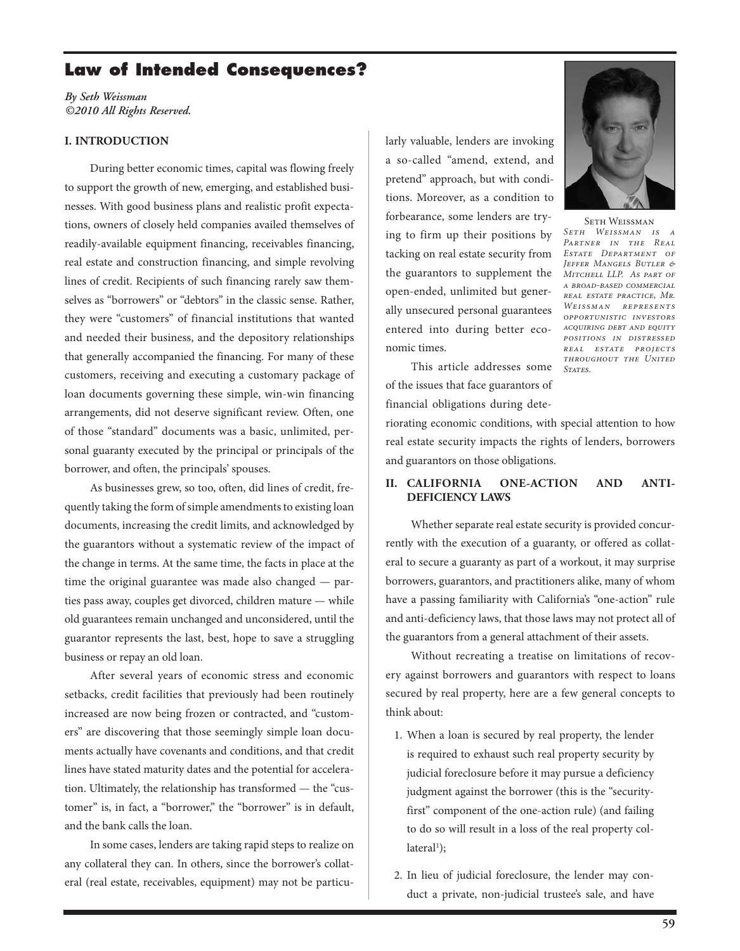# **Law of Intended Consequences?**

*By Seth Weissman ©2010 All Rights Reserved.*

#### **I. INTRODUCTION**

During better economic times, capital was flowing freely to support the growth of new, emerging, and established businesses. With good business plans and realistic profit expectations, owners of closely held companies availed themselves of readily-available equipment financing, receivables financing, real estate and construction financing, and simple revolving lines of credit. Recipients of such financing rarely saw themselves as "borrowers" or "debtors" in the classic sense. Rather, they were "customers" of financial institutions that wanted and needed their business, and the depository relationships that generally accompanied the financing. For many of these customers, receiving and executing a customary package of loan documents governing these simple, win-win financing arrangements, did not deserve significant review. Often, one of those "standard" documents was a basic, unlimited, personal guaranty executed by the principal or principals of the borrower, and often, the principals' spouses.

As businesses grew, so too, often, did lines of credit, frequently taking the form of simple amendments to existing loan documents, increasing the credit limits, and acknowledged by the guarantors without a systematic review of the impact of the change in terms. At the same time, the facts in place at the time the original guarantee was made also changed — parties pass away, couples get divorced, children mature — while old guarantees remain unchanged and unconsidered, until the guarantor represents the last, best, hope to save a struggling business or repay an old loan.

After several years of economic stress and economic setbacks, credit facilities that previously had been routinely increased are now being frozen or contracted, and "customers" are discovering that those seemingly simple loan documents actually have covenants and conditions, and that credit lines have stated maturity dates and the potential for acceleration. Ultimately, the relationship has transformed — the "customer" is, in fact, a "borrower," the "borrower" is in default, and the bank calls the loan.

In some cases, lenders are taking rapid steps to realize on any collateral they can. In others, since the borrower's collateral (real estate, receivables, equipment) may not be particularly valuable, lenders are invoking a so-called "amend, extend, and pretend" approach, but with conditions. Moreover, as a condition to forbearance, some lenders are trying to firm up their positions by tacking on real estate security from the guarantors to supplement the open-ended, unlimited but generally unsecured personal guarantees entered into during better economic times.

This article addresses some of the issues that face guarantors of financial obligations during dete-

Seth Weissman *Seth Weissman is a Partner in the Real Estate Department of Jeffer Mangels Butler & Mitchell LLP. As part of a broad-based commercial real estate practice, Mr. Weissman represents opportunistic investors acquiring debt and equity positions in distressed real estate projects throughout the United States.*

riorating economic conditions, with special attention to how real estate security impacts the rights of lenders, borrowers and guarantors on those obligations.

## **II. CALIFORNIA ONE-ACTION AND ANTI-DEFICIENCY LAWS**

Whether separate real estate security is provided concurrently with the execution of a guaranty, or offered as collateral to secure a guaranty as part of a workout, it may surprise borrowers, guarantors, and practitioners alike, many of whom have a passing familiarity with California's "one-action" rule and anti-deficiency laws, that those laws may not protect all of the guarantors from a general attachment of their assets.

Without recreating a treatise on limitations of recovery against borrowers and guarantors with respect to loans secured by real property, here are a few general concepts to think about:

- 1. When a loan is secured by real property, the lender is required to exhaust such real property security by judicial foreclosure before it may pursue a deficiency judgment against the borrower (this is the "securityfirst" component of the one-action rule) (and failing to do so will result in a loss of the real property collateral<sup>1</sup>);
- 2. In lieu of judicial foreclosure, the lender may conduct a private, non-judicial trustee's sale, and have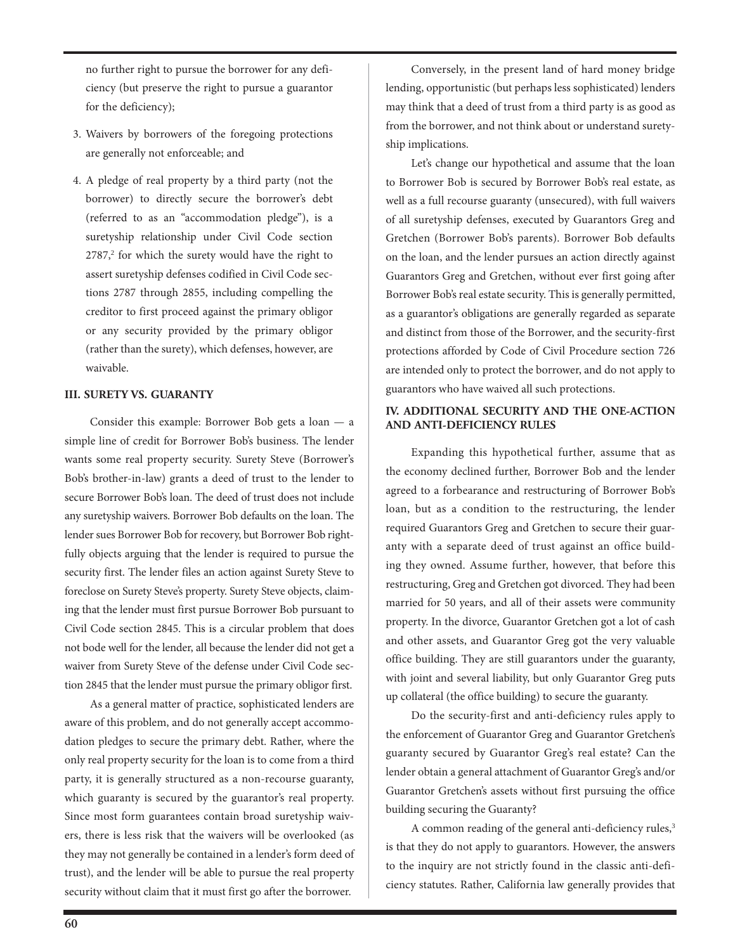no further right to pursue the borrower for any deficiency (but preserve the right to pursue a guarantor for the deficiency);

- 3. Waivers by borrowers of the foregoing protections are generally not enforceable; and
- 4. A pledge of real property by a third party (not the borrower) to directly secure the borrower's debt (referred to as an "accommodation pledge"), is a suretyship relationship under Civil Code section 2787,<sup>2</sup> for which the surety would have the right to assert suretyship defenses codified in Civil Code sections 2787 through 2855, including compelling the creditor to first proceed against the primary obligor or any security provided by the primary obligor (rather than the surety), which defenses, however, are waivable.

#### **III. SURETY VS. GUARANTY**

Consider this example: Borrower Bob gets a loan — a simple line of credit for Borrower Bob's business. The lender wants some real property security. Surety Steve (Borrower's Bob's brother-in-law) grants a deed of trust to the lender to secure Borrower Bob's loan. The deed of trust does not include any suretyship waivers. Borrower Bob defaults on the loan. The lender sues Borrower Bob for recovery, but Borrower Bob rightfully objects arguing that the lender is required to pursue the security first. The lender files an action against Surety Steve to foreclose on Surety Steve's property. Surety Steve objects, claiming that the lender must first pursue Borrower Bob pursuant to Civil Code section 2845. This is a circular problem that does not bode well for the lender, all because the lender did not get a waiver from Surety Steve of the defense under Civil Code section 2845 that the lender must pursue the primary obligor first.

As a general matter of practice, sophisticated lenders are aware of this problem, and do not generally accept accommodation pledges to secure the primary debt. Rather, where the only real property security for the loan is to come from a third party, it is generally structured as a non-recourse guaranty, which guaranty is secured by the guarantor's real property. Since most form guarantees contain broad suretyship waivers, there is less risk that the waivers will be overlooked (as they may not generally be contained in a lender's form deed of trust), and the lender will be able to pursue the real property security without claim that it must first go after the borrower.

Conversely, in the present land of hard money bridge lending, opportunistic (but perhaps less sophisticated) lenders may think that a deed of trust from a third party is as good as from the borrower, and not think about or understand suretyship implications.

Let's change our hypothetical and assume that the loan to Borrower Bob is secured by Borrower Bob's real estate, as well as a full recourse guaranty (unsecured), with full waivers of all suretyship defenses, executed by Guarantors Greg and Gretchen (Borrower Bob's parents). Borrower Bob defaults on the loan, and the lender pursues an action directly against Guarantors Greg and Gretchen, without ever first going after Borrower Bob's real estate security. This is generally permitted, as a guarantor's obligations are generally regarded as separate and distinct from those of the Borrower, and the security-first protections afforded by Code of Civil Procedure section 726 are intended only to protect the borrower, and do not apply to guarantors who have waived all such protections.

## **IV. ADDITIONAL SECURITY AND THE ONE-ACTION AND ANTI-DEFICIENCY RULES**

Expanding this hypothetical further, assume that as the economy declined further, Borrower Bob and the lender agreed to a forbearance and restructuring of Borrower Bob's loan, but as a condition to the restructuring, the lender required Guarantors Greg and Gretchen to secure their guaranty with a separate deed of trust against an office building they owned. Assume further, however, that before this restructuring, Greg and Gretchen got divorced. They had been married for 50 years, and all of their assets were community property. In the divorce, Guarantor Gretchen got a lot of cash and other assets, and Guarantor Greg got the very valuable office building. They are still guarantors under the guaranty, with joint and several liability, but only Guarantor Greg puts up collateral (the office building) to secure the guaranty.

Do the security-first and anti-deficiency rules apply to the enforcement of Guarantor Greg and Guarantor Gretchen's guaranty secured by Guarantor Greg's real estate? Can the lender obtain a general attachment of Guarantor Greg's and/or Guarantor Gretchen's assets without first pursuing the office building securing the Guaranty?

A common reading of the general anti-deficiency rules,<sup>3</sup> is that they do not apply to guarantors. However, the answers to the inquiry are not strictly found in the classic anti-deficiency statutes. Rather, California law generally provides that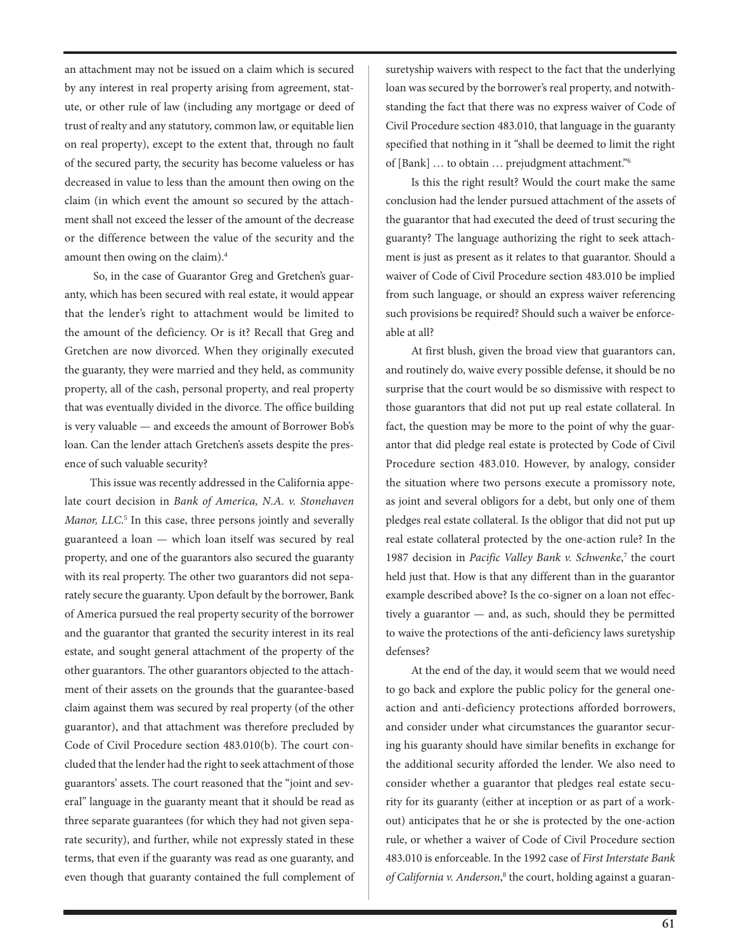an attachment may not be issued on a claim which is secured by any interest in real property arising from agreement, statute, or other rule of law (including any mortgage or deed of trust of realty and any statutory, common law, or equitable lien on real property), except to the extent that, through no fault of the secured party, the security has become valueless or has decreased in value to less than the amount then owing on the claim (in which event the amount so secured by the attachment shall not exceed the lesser of the amount of the decrease or the difference between the value of the security and the amount then owing on the claim).<sup>4</sup>

 So, in the case of Guarantor Greg and Gretchen's guaranty, which has been secured with real estate, it would appear that the lender's right to attachment would be limited to the amount of the deficiency. Or is it? Recall that Greg and Gretchen are now divorced. When they originally executed the guaranty, they were married and they held, as community property, all of the cash, personal property, and real property that was eventually divided in the divorce. The office building is very valuable — and exceeds the amount of Borrower Bob's loan. Can the lender attach Gretchen's assets despite the presence of such valuable security?

This issue was recently addressed in the California appelate court decision in *Bank of America, N.A. v. Stonehaven*  Manor, LLC.<sup>5</sup> In this case, three persons jointly and severally guaranteed a loan — which loan itself was secured by real property, and one of the guarantors also secured the guaranty with its real property. The other two guarantors did not separately secure the guaranty. Upon default by the borrower, Bank of America pursued the real property security of the borrower and the guarantor that granted the security interest in its real estate, and sought general attachment of the property of the other guarantors. The other guarantors objected to the attachment of their assets on the grounds that the guarantee-based claim against them was secured by real property (of the other guarantor), and that attachment was therefore precluded by Code of Civil Procedure section 483.010(b). The court concluded that the lender had the right to seek attachment of those guarantors' assets. The court reasoned that the "joint and several" language in the guaranty meant that it should be read as three separate guarantees (for which they had not given separate security), and further, while not expressly stated in these terms, that even if the guaranty was read as one guaranty, and even though that guaranty contained the full complement of suretyship waivers with respect to the fact that the underlying loan was secured by the borrower's real property, and notwithstanding the fact that there was no express waiver of Code of Civil Procedure section 483.010, that language in the guaranty specified that nothing in it "shall be deemed to limit the right of [Bank] … to obtain … prejudgment attachment."<sup>6</sup>

Is this the right result? Would the court make the same conclusion had the lender pursued attachment of the assets of the guarantor that had executed the deed of trust securing the guaranty? The language authorizing the right to seek attachment is just as present as it relates to that guarantor. Should a waiver of Code of Civil Procedure section 483.010 be implied from such language, or should an express waiver referencing such provisions be required? Should such a waiver be enforceable at all?

At first blush, given the broad view that guarantors can, and routinely do, waive every possible defense, it should be no surprise that the court would be so dismissive with respect to those guarantors that did not put up real estate collateral. In fact, the question may be more to the point of why the guarantor that did pledge real estate is protected by Code of Civil Procedure section 483.010. However, by analogy, consider the situation where two persons execute a promissory note, as joint and several obligors for a debt, but only one of them pledges real estate collateral. Is the obligor that did not put up real estate collateral protected by the one-action rule? In the 1987 decision in Pacific Valley Bank v. Schwenke,<sup>7</sup> the court held just that. How is that any different than in the guarantor example described above? Is the co-signer on a loan not effectively a guarantor — and, as such, should they be permitted to waive the protections of the anti-deficiency laws suretyship defenses?

At the end of the day, it would seem that we would need to go back and explore the public policy for the general oneaction and anti-deficiency protections afforded borrowers, and consider under what circumstances the guarantor securing his guaranty should have similar benefits in exchange for the additional security afforded the lender. We also need to consider whether a guarantor that pledges real estate security for its guaranty (either at inception or as part of a workout) anticipates that he or she is protected by the one-action rule, or whether a waiver of Code of Civil Procedure section 483.010 is enforceable. In the 1992 case of *First Interstate Bank*  of California v. Anderson,<sup>8</sup> the court, holding against a guaran